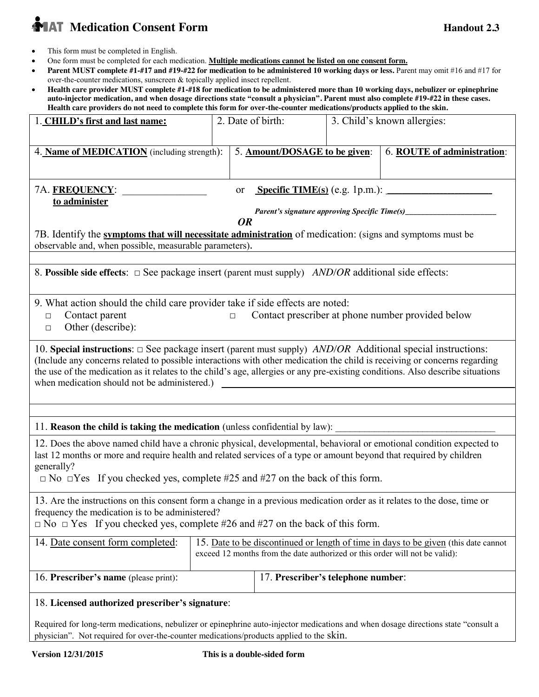# **MAT** Medication Consent Form **Handout 2.3 Handout 2.3**

- This form must be completed in English.
- x One form must be completed for each medication. **Multiple medications cannot be listed on one consent form.**
- x **Parent MUST complete #1-#17 and #19-#22 for medication to be administered 10 working days or less.** Parent may omit #16 and #17 for over-the-counter medications, sunscreen & topically applied insect repellent.
- x **Health care provider MUST complete #1-#18 for medication to be administered more than 10 working days, nebulizer or epinephrine auto-injector medication, and when dosage directions state "consult a physician". Parent must also complete #19-#22 in these cases. Health care providers do not need to complete this form for over-the-counter medications/products applied to the skin.**

| 1. CHILD's first and last name:                                                                                                                                                                                                                                                                                                                                                                                                                                                                                                                                |  | 2. Date of birth:                                                                                                                                                  |  | 3. Child's known allergies: |  |
|----------------------------------------------------------------------------------------------------------------------------------------------------------------------------------------------------------------------------------------------------------------------------------------------------------------------------------------------------------------------------------------------------------------------------------------------------------------------------------------------------------------------------------------------------------------|--|--------------------------------------------------------------------------------------------------------------------------------------------------------------------|--|-----------------------------|--|
| 4. Name of MEDICATION (including strength):                                                                                                                                                                                                                                                                                                                                                                                                                                                                                                                    |  | 5. Amount/DOSAGE to be given:                                                                                                                                      |  | 6. ROUTE of administration: |  |
| 7A. FREQUENCY:<br>or<br>to administer<br>Parent's signature approving Specific Time(s)___________________________________<br><b>OR</b><br>7B. Identify the symptoms that will necessitate administration of medication: (signs and symptoms must be<br>observable and, when possible, measurable parameters).                                                                                                                                                                                                                                                  |  |                                                                                                                                                                    |  |                             |  |
| 8. Possible side effects: $\Box$ See package insert (parent must supply) <i>AND/OR</i> additional side effects:                                                                                                                                                                                                                                                                                                                                                                                                                                                |  |                                                                                                                                                                    |  |                             |  |
| 9. What action should the child care provider take if side effects are noted:<br>Contact parent<br>Contact prescriber at phone number provided below<br>$\Box$<br>$\Box$<br>Other (describe):<br>$\Box$                                                                                                                                                                                                                                                                                                                                                        |  |                                                                                                                                                                    |  |                             |  |
| 10. Special instructions: $\Box$ See package insert (parent must supply) <i>AND/OR</i> Additional special instructions:<br>(Include any concerns related to possible interactions with other medication the child is receiving or concerns regarding<br>the use of the medication as it relates to the child's age, allergies or any pre-existing conditions. Also describe situations<br>when medication should not be administered.)<br><u> 1980 - Jan Stein Stein Stein Stein Stein Stein Stein Stein Stein Stein Stein Stein Stein Stein Stein Stein S</u> |  |                                                                                                                                                                    |  |                             |  |
|                                                                                                                                                                                                                                                                                                                                                                                                                                                                                                                                                                |  |                                                                                                                                                                    |  |                             |  |
|                                                                                                                                                                                                                                                                                                                                                                                                                                                                                                                                                                |  |                                                                                                                                                                    |  |                             |  |
| 11. Reason the child is taking the medication (unless confidential by law):<br>12. Does the above named child have a chronic physical, developmental, behavioral or emotional condition expected to<br>last 12 months or more and require health and related services of a type or amount beyond that required by children<br>generally?<br>$\Box$ No $\Box$ Yes If you checked yes, complete #25 and #27 on the back of this form.                                                                                                                            |  |                                                                                                                                                                    |  |                             |  |
| 13. Are the instructions on this consent form a change in a previous medication order as it relates to the dose, time or<br>frequency the medication is to be administered?<br>$\Box$ No $\Box$ Yes If you checked yes, complete #26 and #27 on the back of this form.                                                                                                                                                                                                                                                                                         |  |                                                                                                                                                                    |  |                             |  |
| 14. Date consent form completed:                                                                                                                                                                                                                                                                                                                                                                                                                                                                                                                               |  | 15. Date to be discontinued or length of time in days to be given (this date cannot<br>exceed 12 months from the date authorized or this order will not be valid): |  |                             |  |
| 16. Prescriber's name (please print):                                                                                                                                                                                                                                                                                                                                                                                                                                                                                                                          |  | 17. Prescriber's telephone number:                                                                                                                                 |  |                             |  |
| 18. Licensed authorized prescriber's signature:<br>Required for long-term medications, nebulizer or epinephrine auto-injector medications and when dosage directions state "consult a<br>physician". Not required for over-the-counter medications/products applied to the skin.                                                                                                                                                                                                                                                                               |  |                                                                                                                                                                    |  |                             |  |